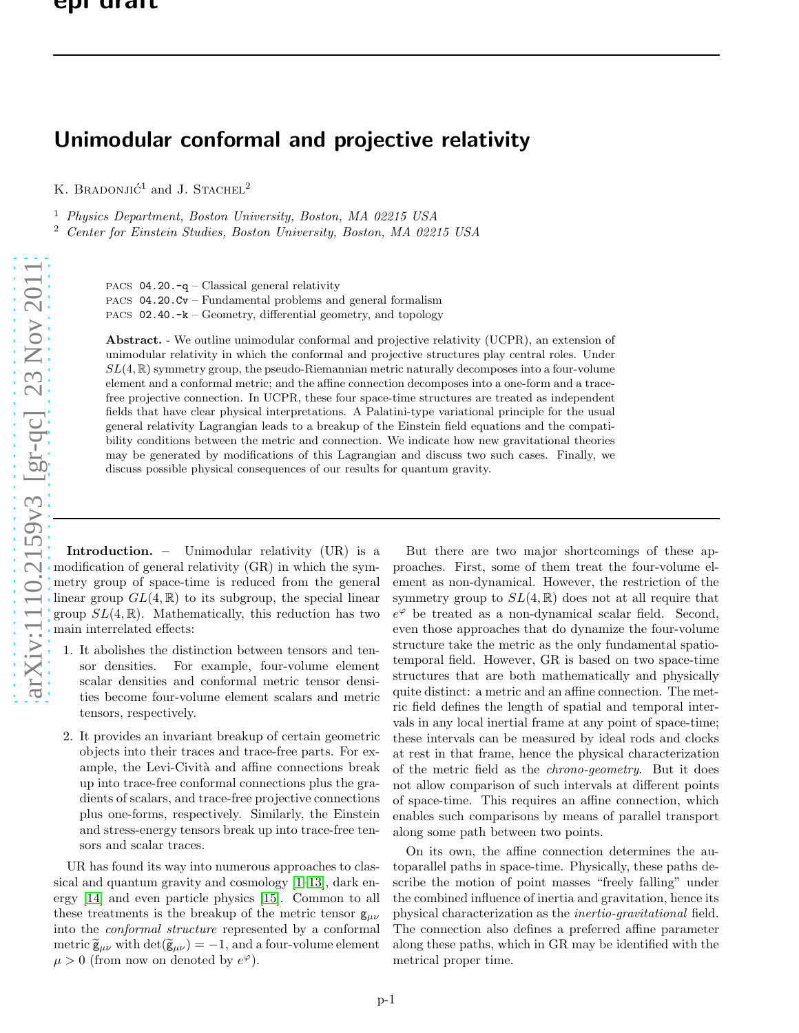## Unimodular conformal and projective relativity

K. BRADONJIĆ<sup>1</sup> and J. STACHEL<sup>2</sup>

<sup>1</sup> Physics Department, Boston University, Boston, MA 02215 USA

<sup>2</sup> Center for Einstein Studies, Boston University, Boston, MA 02215 USA

PACS  $04.20.-q$  – Classical general relativity

PACS 04.20.Cv – Fundamental problems and general formalism PACS 02.40.-k – Geometry, differential geometry, and topology

Abstract. - We outline unimodular conformal and projective relativity (UCPR), an extension of unimodular relativity in which the conformal and projective structures play central roles. Under  $SL(4,\mathbb{R})$  symmetry group, the pseudo-Riemannian metric naturally decomposes into a four-volume element and a conformal metric; and the affine connection decomposes into a one-form and a tracefree projective connection. In UCPR, these four space-time structures are treated as independent fields that have clear physical interpretations. A Palatini-type variational principle for the usual general relativity Lagrangian leads to a breakup of the Einstein field equations and the compatibility conditions between the metric and connection. We indicate how new gravitational theories may be generated by modifications of this Lagrangian and discuss two such cases. Finally, we discuss possible physical consequences of our results for quantum gravity.

Introduction. – Unimodular relativity (UR) is a modification of general relativity (GR) in which the symmetry group of space-time is reduced from the general linear group  $GL(4,\mathbb{R})$  to its subgroup, the special linear group  $SL(4,\mathbb{R})$ . Mathematically, this reduction has two main interrelated effects:

- 1. It abolishes the distinction between tensors and tensor densities. For example, four-volume element scalar densities and conformal metric tensor densities become four-volume element scalars and metric tensors, respectively.
- 2. It provides an invariant breakup of certain geometric objects into their traces and trace-free parts. For example, the Levi-Cività and affine connections break up into trace-free conformal connections plus the gradients of scalars, and trace-free projective connections plus one-forms, respectively. Similarly, the Einstein and stress-energy tensors break up into trace-free tensors and scalar traces.

UR has found its way into numerous approaches to classical and quantum gravity and cosmology [\[1–](#page-4-0)[13\]](#page-5-0), dark energy [\[14\]](#page-5-1) and even particle physics [\[15\]](#page-5-2). Common to all these treatments is the breakup of the metric tensor  $g_{\mu\nu}$ into the conformal structure represented by a conformal metric  $\widetilde{\mathbf{g}}_{\mu\nu}$  with  $\det(\widetilde{\mathbf{g}}_{\mu\nu}) = -1$ , and a four-volume element  $\mu > 0$  (from now on denoted by  $e^{\varphi}$ ).

But there are two major shortcomings of these approaches. First, some of them treat the four-volume element as non-dynamical. However, the restriction of the symmetry group to  $SL(4,\mathbb{R})$  does not at all require that  $e^{\varphi}$  be treated as a non-dynamical scalar field. Second, even those approaches that do dynamize the four-volume structure take the metric as the only fundamental spatiotemporal field. However, GR is based on two space-time structures that are both mathematically and physically quite distinct: a metric and an affine connection. The metric field defines the length of spatial and temporal intervals in any local inertial frame at any point of space-time; these intervals can be measured by ideal rods and clocks at rest in that frame, hence the physical characterization of the metric field as the chrono-geometry. But it does not allow comparison of such intervals at different points of space-time. This requires an affine connection, which enables such comparisons by means of parallel transport along some path between two points.

On its own, the affine connection determines the autoparallel paths in space-time. Physically, these paths describe the motion of point masses "freely falling" under the combined influence of inertia and gravitation, hence its physical characterization as the inertio-gravitational field. The connection also defines a preferred affine parameter along these paths, which in GR may be identified with the metrical proper time.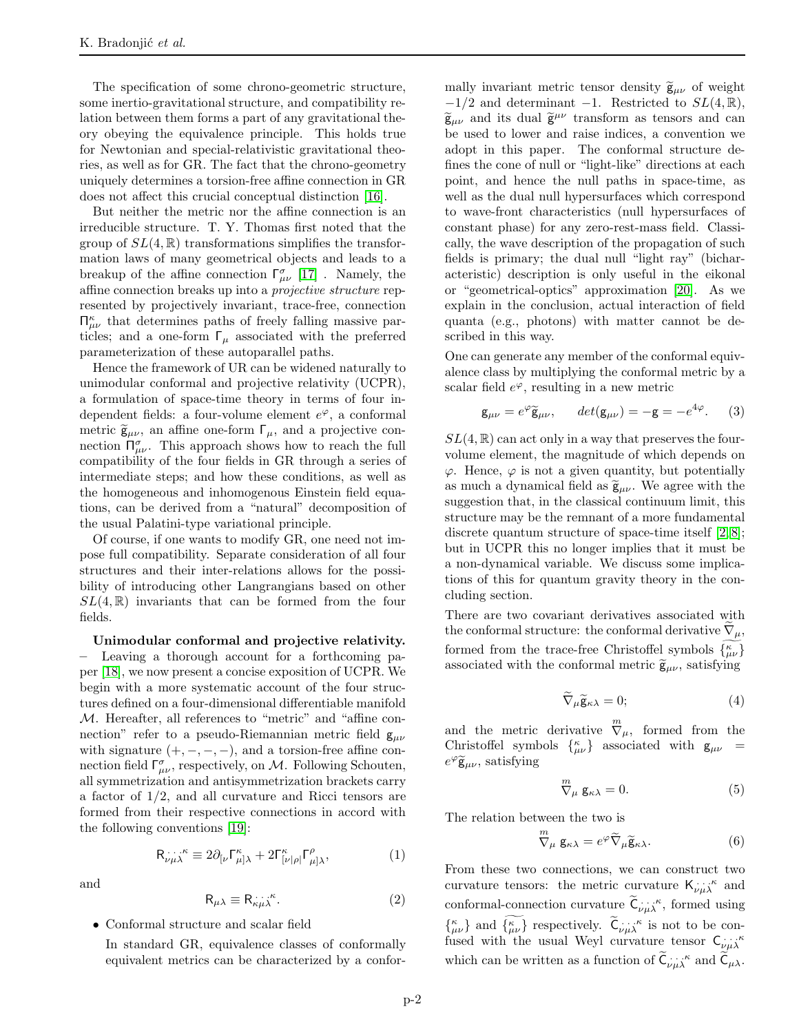The specification of some chrono-geometric structure, some inertio-gravitational structure, and compatibility relation between them forms a part of any gravitational theory obeying the equivalence principle. This holds true for Newtonian and special-relativistic gravitational theories, as well as for GR. The fact that the chrono-geometry uniquely determines a torsion-free affine connection in GR does not affect this crucial conceptual distinction [\[16\]](#page-5-3).

But neither the metric nor the affine connection is an irreducible structure. T. Y. Thomas first noted that the group of  $SL(4,\mathbb{R})$  transformations simplifies the transformation laws of many geometrical objects and leads to a breakup of the affine connection  $\lceil \frac{\sigma}{\mu \nu} \rceil$  [\[17\]](#page-5-4). Namely, the affine connection breaks up into a projective structure represented by projectively invariant, trace-free, connection  $\Pi^k_{\mu\nu}$  that determines paths of freely falling massive particles; and a one-form  $\Gamma_{\mu}$  associated with the preferred parameterization of these autoparallel paths.

Hence the framework of UR can be widened naturally to unimodular conformal and projective relativity (UCPR), a formulation of space-time theory in terms of four independent fields: a four-volume element  $e^{\varphi}$ , a conformal metric  $\tilde{\mathsf{g}}_{\mu\nu}$ , an affine one-form  $\Gamma_{\mu}$ , and a projective connection  $\Pi_{\mu\nu}^{\sigma}$ . This approach shows how to reach the full compatibility of the four fields in GR through a series of intermediate steps; and how these conditions, as well as the homogeneous and inhomogenous Einstein field equations, can be derived from a "natural" decomposition of the usual Palatini-type variational principle.

Of course, if one wants to modify GR, one need not impose full compatibility. Separate consideration of all four structures and their inter-relations allows for the possibility of introducing other Langrangians based on other  $SL(4,\mathbb{R})$  invariants that can be formed from the four fields.

## Unimodular conformal and projective relativity.

– Leaving a thorough account for a forthcoming paper [\[18\]](#page-5-5), we now present a concise exposition of UCPR. We begin with a more systematic account of the four structures defined on a four-dimensional differentiable manifold M. Hereafter, all references to "metric" and "affine connection" refer to a pseudo-Riemannian metric field  $g_{\mu\nu}$ with signature  $(+, -, -, -)$ , and a torsion-free affine connection field  $\Gamma^{\sigma}_{\mu\nu}$ , respectively, on M. Following Schouten, all symmetrization and antisymmetrization brackets carry a factor of 1/2, and all curvature and Ricci tensors are formed from their respective connections in accord with the following conventions [\[19\]](#page-5-6):

$$
\mathsf{R}^{\ldots,\kappa}_{\nu\mu\lambda} \equiv 2\partial_{[\nu}\Gamma^\kappa_{\mu]\lambda} + 2\Gamma^\kappa_{[\nu|\rho|}\Gamma^\rho_{\mu]\lambda},\tag{1}
$$

and

$$
\mathsf{R}_{\mu\lambda} \equiv \mathsf{R}_{\kappa\mu\lambda}^{\ldots\kappa}.\tag{2}
$$

• Conformal structure and scalar field

In standard GR, equivalence classes of conformally equivalent metrics can be characterized by a conformally invariant metric tensor density  $\tilde{\mathbf{g}}_{\mu\nu}$  of weight  $-1/2$  and determinant  $-1$ . Restricted to  $SL(4,\mathbb{R}),$  $\widetilde{\mathbf{g}}_{\mu\nu}$  and its dual  $\widetilde{\mathbf{g}}^{\mu\nu}$  transform as tensors and can be used to lower and raise indices, a convention we adopt in this paper. The conformal structure defines the cone of null or "light-like" directions at each point, and hence the null paths in space-time, as well as the dual null hypersurfaces which correspond to wave-front characteristics (null hypersurfaces of constant phase) for any zero-rest-mass field. Classically, the wave description of the propagation of such fields is primary; the dual null "light ray" (bicharacteristic) description is only useful in the eikonal or "geometrical-optics" approximation [\[20\]](#page-5-7). As we explain in the conclusion, actual interaction of field quanta (e.g., photons) with matter cannot be described in this way.

One can generate any member of the conformal equivalence class by multiplying the conformal metric by a scalar field  $e^{\varphi}$ , resulting in a new metric

$$
\mathsf{g}_{\mu\nu} = e^{\varphi} \widetilde{\mathsf{g}}_{\mu\nu}, \qquad det(\mathsf{g}_{\mu\nu}) = -\mathsf{g} = -e^{4\varphi}.
$$
 (3)

 $SL(4,\mathbb{R})$  can act only in a way that preserves the fourvolume element, the magnitude of which depends on  $\varphi$ . Hence,  $\varphi$  is not a given quantity, but potentially as much a dynamical field as  $\tilde{\mathsf{g}}_{\mu\nu}$ . We agree with the suggestion that, in the classical continuum limit, this structure may be the remnant of a more fundamental discrete quantum structure of space-time itself [\[2,](#page-4-1) [8\]](#page-5-8); but in UCPR this no longer implies that it must be a non-dynamical variable. We discuss some implications of this for quantum gravity theory in the concluding section.

There are two covariant derivatives associated with the conformal structure: the conformal derivative  $\nabla_{\mu}$ , formed from the trace-free Christoffel symbols  $\{^{\kappa}_{\mu\nu}\}$ associated with the conformal metric  $\tilde{\mathbf{g}}_{\mu\nu}$ , satisfying

$$
\widetilde{\nabla}_{\mu}\widetilde{\mathsf{g}}_{\kappa\lambda}=0;\tag{4}
$$

and the metric derivative  $\overline{\nabla}_{\mu}$ , formed from the Christoffel symbols  $\begin{bmatrix} \kappa \\ \mu \nu \end{bmatrix}$  associated with  $g_{\mu\nu}$  =  $e^{\varphi}\widetilde{\mathsf{g}}_{\mu\nu}$ , satisfying

$$
\stackrel{m}{\nabla}\!\mu \mathbf{g}_{\kappa\lambda} = 0. \tag{5}
$$

The relation between the two is

$$
\stackrel{m}{\nabla}\!\mu \mathbf{g}_{\kappa\lambda} = e^{\varphi} \widetilde{\nabla}_{\mu} \widetilde{\mathbf{g}}_{\kappa\lambda}.
$$
 (6)

From these two connections, we can construct two curvature tensors: the metric curvature  $\mathsf{K}_{\nu\mu\lambda}^{\ldots,\kappa}$  and conformal-connection curvature  $\mathcal{C}_{\nu\mu\lambda}^{\cdots\kappa}$ , formed using  $\begin{Bmatrix} \kappa \\ \mu \nu \end{Bmatrix}$  and  $\begin{Bmatrix} \kappa \\ \mu \nu \end{Bmatrix}$  respectively.  $\tilde{C}_{\nu \mu \lambda}$  is not to be confused with the usual Weyl curvature tensor  $C_{\nu\mu\lambda}$ which can be written as a function of  $\mathsf{C}_{\nu\mu\lambda}^{\cdots\kappa}$  and  $\mathsf{C}_{\mu\lambda}$ .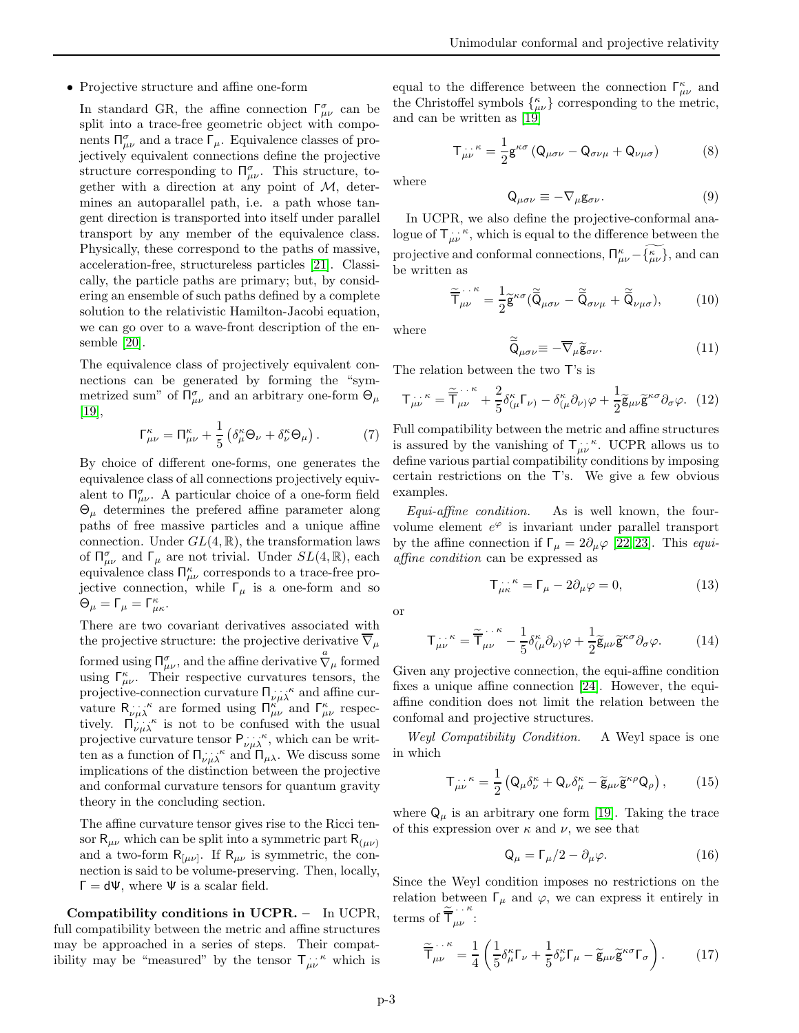## • Projective structure and affine one-form

In standard GR, the affine connection  $\Gamma^{\sigma}_{\mu\nu}$  can be split into a trace-free geometric object with components  $\Pi^{\sigma}_{\mu\nu}$  and a trace  $\Gamma_{\mu}$ . Equivalence classes of projectively equivalent connections define the projective structure corresponding to  $\Pi_{\mu\nu}^{\sigma}$ . This structure, together with a direction at any point of  $M$ , determines an autoparallel path, i.e. a path whose tangent direction is transported into itself under parallel transport by any member of the equivalence class. Physically, these correspond to the paths of massive, acceleration-free, structureless particles [\[21\]](#page-5-9). Classically, the particle paths are primary; but, by considering an ensemble of such paths defined by a complete solution to the relativistic Hamilton-Jacobi equation, we can go over to a wave-front description of the ensemble [\[20\]](#page-5-7).

The equivalence class of projectively equivalent connections can be generated by forming the "symmetrized sum" of  $\Pi^{\sigma}_{\mu\nu}$  and an arbitrary one-form  $\Theta_{\mu}$  $|19|,$ 

$$
\Gamma^{\kappa}_{\mu\nu} = \Pi^{\kappa}_{\mu\nu} + \frac{1}{5} \left( \delta^{\kappa}_{\mu} \Theta_{\nu} + \delta^{\kappa}_{\nu} \Theta_{\mu} \right). \tag{7}
$$

By choice of different one-forms, one generates the equivalence class of all connections projectively equivalent to  $\Pi_{\mu\nu}^{\sigma}$ . A particular choice of a one-form field  $\Theta_{\mu}$  determines the prefered affine parameter along paths of free massive particles and a unique affine connection. Under  $GL(4,\mathbb{R})$ , the transformation laws of  $\Pi_{\mu\nu}^{\sigma}$  and  $\Gamma_{\mu}$  are not trivial. Under  $SL(4,\mathbb{R})$ , each equivalence class  $\Pi^{\kappa}_{\mu\nu}$  corresponds to a trace-free projective connection, while  $\Gamma_{\mu}$  is a one-form and so  $\Theta_{\mu} = \Gamma_{\mu} = \Gamma^{\kappa}_{\mu\kappa}.$ 

There are two covariant derivatives associated with the projective structure: the projective derivative  $\nabla_{\mu}$ formed using  $\Pi^{\sigma}_{\mu\nu}$ , and the affine derivative  $\stackrel{a}{\nabla}\mu$  formed using  $\Gamma^{\kappa}_{\mu\nu}$ . Their respective curvatures tensors, the projective-connection curvature  $\Pi_{\nu\mu\lambda}^{\cdots\kappa}$  and affine curvature  $R_{\nu\mu\lambda}^{\cdots\kappa}$  are formed using  $\prod_{\mu\nu}^{\kappa}$  and  $\Gamma_{\mu\nu}^{\kappa}$  respectively.  $\prod_{\nu\mu\lambda} \kappa$  is not to be confused with the usual projective curvature tensor  $P_{\nu\mu\lambda}^{\ldots\kappa}$ , which can be written as a function of  $\Pi_{\nu\mu\lambda}^{\cdots\kappa}$  and  $\Pi_{\mu\lambda}$ . We discuss some implications of the distinction between the projective and conformal curvature tensors for quantum gravity theory in the concluding section.

The affine curvature tensor gives rise to the Ricci tensor  $R_{\mu\nu}$  which can be split into a symmetric part  $R_{(\mu\nu)}$ and a two-form  $R_{\mu\nu}$ . If  $R_{\mu\nu}$  is symmetric, the connection is said to be volume-preserving. Then, locally,  $\Gamma = d\Psi$ , where  $\Psi$  is a scalar field.

Compatibility conditions in UCPR. – In UCPR, full compatibility between the metric and affine structures may be approached in a series of steps. Their compatibility may be "measured" by the tensor  $\mathsf{T}^{\dots\kappa}_{\mu\nu}$  which is

equal to the difference between the connection  $\Gamma^{\kappa}_{\mu\nu}$  and the Christoffel symbols  $\{^{\kappa}_{\mu\nu}\}$  corresponding to the metric, and can be written as [\[19\]](#page-5-6)

$$
T_{\mu\nu}^{\ \ \ \kappa} = \frac{1}{2} g^{\kappa\sigma} \left( Q_{\mu\sigma\nu} - Q_{\sigma\nu\mu} + Q_{\nu\mu\sigma} \right) \tag{8}
$$

where

$$
Q_{\mu\sigma\nu} \equiv -\nabla_{\mu}g_{\sigma\nu}.
$$
 (9)

In UCPR, we also define the projective-conformal analogue of  $\mathsf{T}_{\mu\nu}^{\cdots\kappa}$ , which is equal to the difference between the projective and conformal connections,  $\prod_{\mu\nu}^{\kappa} - {\kappa \choose \mu\nu}$ , and can be written as

$$
\widetilde{\overline{\mathsf{T}}}_{\mu\nu}^{\cdots \kappa} = \frac{1}{2} \widetilde{\mathsf{g}}^{\kappa\sigma} (\widetilde{\overline{\mathsf{Q}}}_{\mu\sigma\nu} - \widetilde{\overline{\mathsf{Q}}}_{\sigma\nu\mu} + \widetilde{\overline{\mathsf{Q}}}_{\nu\mu\sigma}), \tag{10}
$$

where

$$
\widetilde{\overline{Q}}_{\mu\sigma\nu} \equiv -\overline{\nabla}_{\mu}\widetilde{\mathbf{g}}_{\sigma\nu}.
$$
\n(11)

The relation between the two T's is

$$
\mathsf{T}^{\dots\kappa}_{\mu\nu} = \widetilde{\mathsf{T}}^{\dots\kappa}_{\mu\nu} + \frac{2}{5} \delta^{\kappa}_{(\mu} \mathsf{T}_{\nu)} - \delta^{\kappa}_{(\mu} \partial_{\nu)} \varphi + \frac{1}{2} \widetilde{\mathsf{g}}_{\mu\nu} \widetilde{\mathsf{g}}^{\kappa\sigma} \partial_{\sigma} \varphi. \tag{12}
$$

Full compatibility between the metric and affine structures is assured by the vanishing of  $T_{\mu\nu}^{\cdots}$ . UCPR allows us to define various partial compatibility conditions by imposing certain restrictions on the T's. We give a few obvious examples.

Equi-affine condition. As is well known, the fourvolume element  $e^{\varphi}$  is invariant under parallel transport by the affine connection if  $\Gamma_{\mu} = 2 \partial_{\mu} \varphi$  [\[22,](#page-5-10) [23\]](#page-5-11). This *equi*affine condition can be expressed as

<span id="page-2-0"></span>
$$
\mathsf{T}^{\dots \kappa}_{\mu\kappa} = \mathsf{T}_{\mu} - 2\partial_{\mu}\varphi = 0,\tag{13}
$$

or

$$
\mathsf{T}_{\mu\nu}^{\dots\kappa} = \widetilde{\mathsf{T}}_{\mu\nu}^{\dots\kappa} - \frac{1}{5} \delta_{(\mu}^{\kappa} \partial_{\nu)} \varphi + \frac{1}{2} \widetilde{\mathsf{g}}_{\mu\nu} \widetilde{\mathsf{g}}^{\kappa\sigma} \partial_{\sigma} \varphi. \tag{14}
$$

Given any projective connection, the equi-affine condition fixes a unique affine connection [\[24\]](#page-5-12). However, the equiaffine condition does not limit the relation between the confomal and projective structures.

Weyl Compatibility Condition. A Weyl space is one in which

<span id="page-2-1"></span>
$$
\mathsf{T}^{\dots \kappa}_{\mu\nu} = \frac{1}{2} \left( \mathsf{Q}_{\mu} \delta^{\kappa}_{\nu} + \mathsf{Q}_{\nu} \delta^{\kappa}_{\mu} - \widetilde{\mathsf{g}}_{\mu\nu} \widetilde{\mathsf{g}}^{\kappa\rho} \mathsf{Q}_{\rho} \right), \tag{15}
$$

where  $Q_{\mu}$  is an arbitrary one form [\[19\]](#page-5-6). Taking the trace of this expression over  $\kappa$  and  $\nu$ , we see that

$$
Q_{\mu} = \Gamma_{\mu}/2 - \partial_{\mu}\varphi. \qquad (16)
$$

Since the Weyl condition imposes no restrictions on the relation between  $\Gamma_{\mu}$  and  $\varphi$ , we can express it entirely in terms of  $\tilde{\overline{T}}_{\mu\nu}^{\cdots}$ :

$$
\widetilde{\overline{\mathsf{T}}}_{\mu\nu}^{\cdots\kappa} = \frac{1}{4} \left( \frac{1}{5} \delta^{\kappa}_{\mu} \Gamma_{\nu} + \frac{1}{5} \delta^{\kappa}_{\nu} \Gamma_{\mu} - \widetilde{\mathsf{g}}_{\mu\nu} \widetilde{\mathsf{g}}^{\kappa\sigma} \Gamma_{\sigma} \right). \tag{17}
$$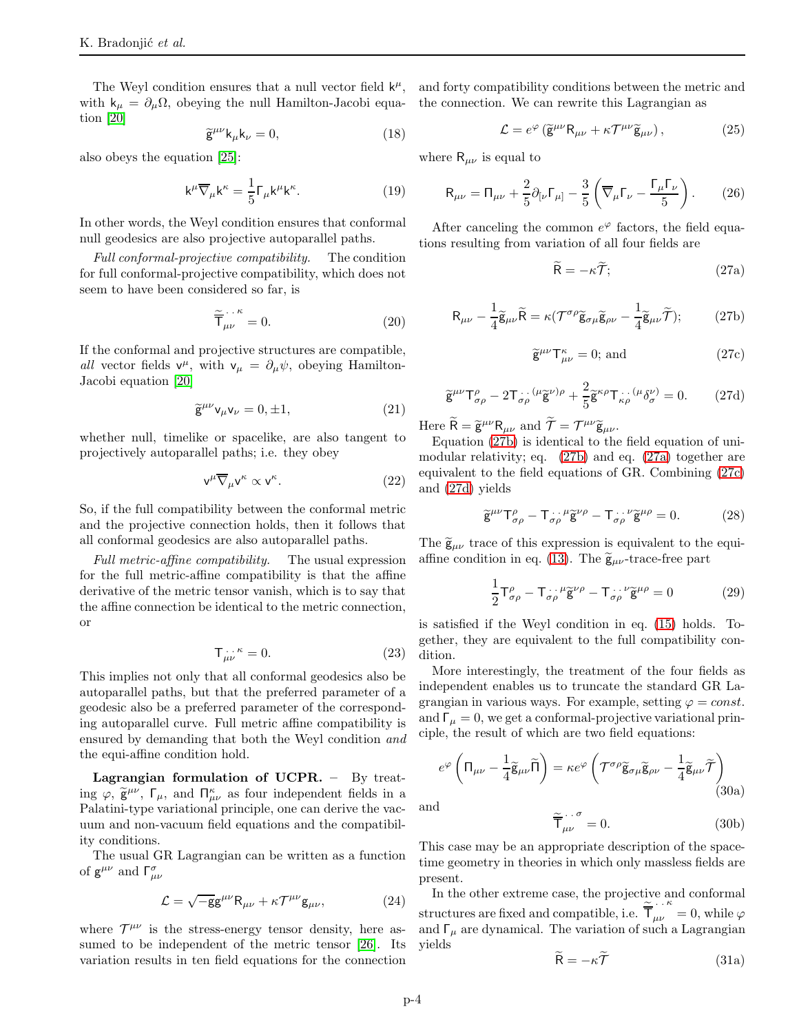with  $k_{\mu} = \partial_{\mu} \Omega$ , obeying the null Hamilton-Jacobi equa- the connection. We can rewrite this Lagrangian as tion [\[20\]](#page-5-7)

$$
\widetilde{\mathbf{g}}^{\mu\nu}\mathbf{k}_{\mu}\mathbf{k}_{\nu} = 0,\tag{18}
$$

also obeys the equation [\[25\]](#page-5-13):

$$
\mathbf{k}^{\mu}\overline{\nabla}_{\mu}\mathbf{k}^{\kappa} = \frac{1}{5}\Gamma_{\mu}\mathbf{k}^{\mu}\mathbf{k}^{\kappa}.
$$
 (19)

In other words, the Weyl condition ensures that conformal null geodesics are also projective autoparallel paths.

Full conformal-projective compatibility. The condition for full conformal-projective compatibility, which does not seem to have been considered so far, is

$$
\widetilde{\overline{\mathsf{T}}}_{\mu\nu}^{\ldots\kappa}=0.\tag{20}
$$

If the conformal and projective structures are compatible, all vector fields  $v^{\mu}$ , with  $v_{\mu} = \partial_{\mu} \psi$ , obeying Hamilton-Jacobi equation [\[20\]](#page-5-7)

$$
\widetilde{\mathbf{g}}^{\mu\nu}\mathbf{v}_{\mu}\mathbf{v}_{\nu} = 0, \pm 1,\tag{21}
$$

whether null, timelike or spacelike, are also tangent to projectively autoparallel paths; i.e. they obey

$$
\mathsf{v}^{\mu}\overline{\nabla}_{\mu}\mathsf{v}^{\kappa}\propto\mathsf{v}^{\kappa}.\tag{22}
$$

So, if the full compatibility between the conformal metric and the projective connection holds, then it follows that all conformal geodesics are also autoparallel paths.

Full metric-affine compatibility. The usual expression for the full metric-affine compatibility is that the affine derivative of the metric tensor vanish, which is to say that the affine connection be identical to the metric connection, or

$$
\mathsf{T}^{\dots \kappa}_{\mu\nu} = 0. \tag{23}
$$

This implies not only that all conformal geodesics also be autoparallel paths, but that the preferred parameter of a geodesic also be a preferred parameter of the corresponding autoparallel curve. Full metric affine compatibility is ensured by demanding that both the Weyl condition and the equi-affine condition hold.

Lagrangian formulation of UCPR. – By treating  $\varphi$ ,  $\tilde{\mathbf{g}}^{\mu\nu}$ ,  $\Gamma_{\mu}$ , and  $\Pi^{\kappa}_{\mu\nu}$  as four independent fields in a Palatini-type variational principle, one can derive the vacuum and non-vacuum field equations and the compatibility conditions.

The usual GR Lagrangian can be written as a function of  $g^{\mu\nu}$  and  $\Gamma^{\sigma}_{\mu\nu}$ 

$$
\mathcal{L} = \sqrt{-g}g^{\mu\nu}R_{\mu\nu} + \kappa \mathcal{T}^{\mu\nu}g_{\mu\nu},\qquad(24)
$$

where  $\mathcal{T}^{\mu\nu}$  is the stress-energy tensor density, here assumed to be independent of the metric tensor [\[26\]](#page-5-14). Its variation results in ten field equations for the connection

The Weyl condition ensures that a null vector field  $k^{\mu}$ , and forty compatibility conditions between the metric and

$$
\mathcal{L} = e^{\varphi} \left( \tilde{\mathbf{g}}^{\mu \nu} \mathbf{R}_{\mu \nu} + \kappa \mathcal{T}^{\mu \nu} \tilde{\mathbf{g}}_{\mu \nu} \right), \tag{25}
$$

where  $R_{\mu\nu}$  is equal to

$$
\mathsf{R}_{\mu\nu} = \mathsf{\Pi}_{\mu\nu} + \frac{2}{5} \partial_{[\nu} \mathsf{\Gamma}_{\mu]} - \frac{3}{5} \left( \overline{\nabla}_{\mu} \mathsf{\Gamma}_{\nu} - \frac{\mathsf{\Gamma}_{\mu} \mathsf{\Gamma}_{\nu}}{5} \right). \tag{26}
$$

After canceling the common  $e^{\varphi}$  factors, the field equations resulting from variation of all four fields are

$$
\widetilde{\mathsf{R}} = -\kappa \widetilde{\mathcal{T}}; \tag{27a}
$$

$$
R_{\mu\nu} - \frac{1}{4}\tilde{g}_{\mu\nu}\tilde{R} = \kappa(\mathcal{T}^{\sigma\rho}\tilde{g}_{\sigma\mu}\tilde{g}_{\rho\nu} - \frac{1}{4}\tilde{g}_{\mu\nu}\tilde{\mathcal{T}}); \qquad (27b)
$$

$$
\widetilde{\mathbf{g}}^{\mu\nu}\mathbf{T}^{\kappa}_{\mu\nu} = 0; \text{ and } \tag{27c}
$$

<span id="page-3-0"></span>
$$
\widetilde{\mathbf{g}}^{\mu\nu}\mathsf{T}^{\rho}_{\sigma\rho} - 2\mathsf{T}^{\ldots}_{\sigma\rho}({}^{\mu}\widetilde{\mathbf{g}}^{\nu})^{\rho} + \frac{2}{5}\widetilde{\mathbf{g}}^{\kappa\rho}\mathsf{T}^{\ldots}_{\kappa\rho}({}^{\mu}\delta^{\nu}_{\sigma}) = 0. \tag{27d}
$$

Here  $\tilde{\mathsf{R}} = \tilde{\mathsf{g}}^{\mu\nu} \mathsf{R}_{\mu\nu}$  and  $\tilde{\mathcal{T}} = \mathcal{T}^{\mu\nu} \tilde{\mathsf{g}}_{\mu\nu}$ .

Equation [\(27b\)](#page-3-0) is identical to the field equation of unimodular relativity; eq. [\(27b\)](#page-3-0) and eq. [\(27a\)](#page-3-0) together are equivalent to the field equations of GR. Combining [\(27c\)](#page-3-0) and [\(27d\)](#page-3-0) yields

$$
\widetilde{\mathbf{g}}^{\mu\nu}\mathsf{T}^{\rho}_{\sigma\rho} - \mathsf{T}_{\sigma\rho}^{\cdots \mu}\widetilde{\mathbf{g}}^{\nu\rho} - \mathsf{T}_{\sigma\rho}^{\cdots \nu}\widetilde{\mathbf{g}}^{\mu\rho} = 0. \tag{28}
$$

The  $\tilde{g}_{\mu\nu}$  trace of this expression is equivalent to the equi-affine condition in eq. [\(13\)](#page-2-0). The  $\tilde{\mathsf{g}}_{\mu\nu}$ -trace-free part

$$
\frac{1}{2}\mathsf{T}^{\rho}_{\sigma\rho} - \mathsf{T}^{\dots\mu}_{\sigma\rho}\widetilde{\mathsf{g}}^{\nu\rho} - \mathsf{T}^{\dots\nu}_{\sigma\rho}\widetilde{\mathsf{g}}^{\mu\rho} = 0
$$
 (29)

is satisfied if the Weyl condition in eq. [\(15\)](#page-2-1) holds. Together, they are equivalent to the full compatibility condition.

More interestingly, the treatment of the four fields as independent enables us to truncate the standard GR Lagrangian in various ways. For example, setting  $\varphi = const.$ and  $\Gamma_{\mu} = 0$ , we get a conformal-projective variational principle, the result of which are two field equations:

$$
e^{\varphi}\left(\Pi_{\mu\nu}-\frac{1}{4}\widetilde{\mathsf{g}}_{\mu\nu}\widetilde{\Pi}\right)=\kappa e^{\varphi}\left(\mathcal{T}^{\sigma\rho}\widetilde{\mathsf{g}}_{\sigma\mu}\widetilde{\mathsf{g}}_{\rho\nu}-\frac{1}{4}\widetilde{\mathsf{g}}_{\mu\nu}\widetilde{\mathcal{T}}\right)
$$
(30a)

and

$$
\widetilde{\overline{\mathsf{T}}}_{\mu\nu}^{\cdots \sigma} = 0. \tag{30b}
$$

This case may be an appropriate description of the spacetime geometry in theories in which only massless fields are present.

In the other extreme case, the projective and conformal structures are fixed and compatible, i.e.  $\tilde{\overline{T}}_{\mu\nu}^{\cdots\kappa} = 0$ , while  $\varphi$ and  $\Gamma_{\mu}$  are dynamical. The variation of such a Lagrangian yields

$$
\widetilde{\mathsf{R}} = -\kappa \widetilde{\mathcal{T}} \tag{31a}
$$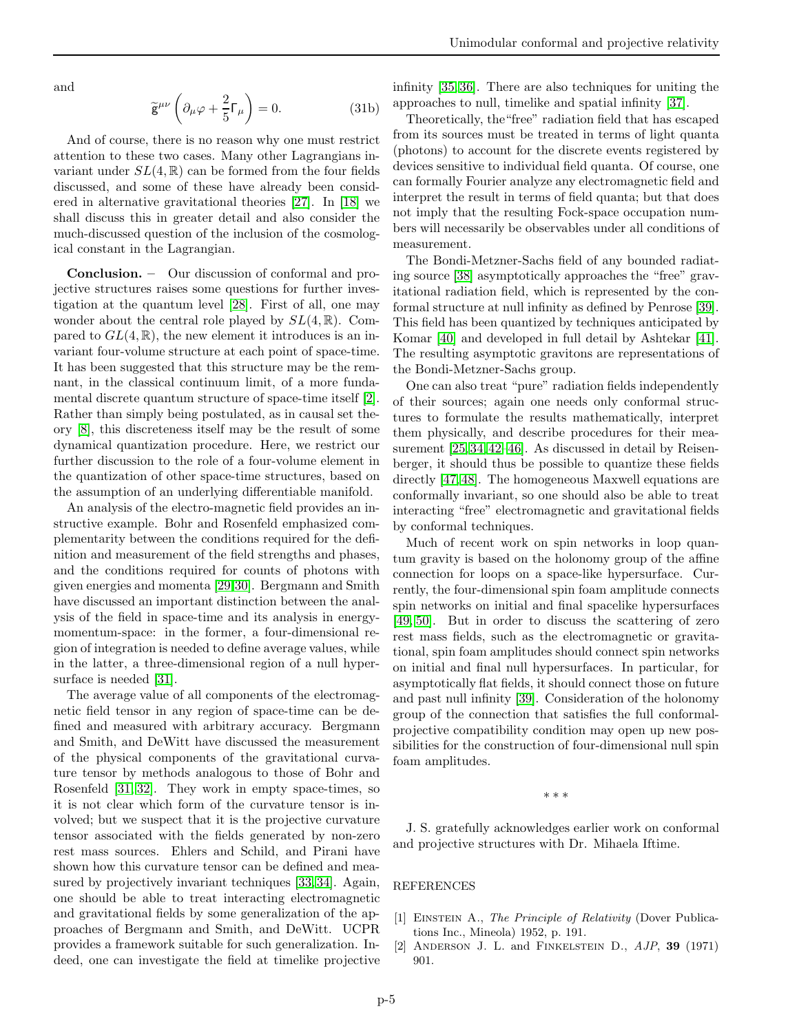and

$$
\widetilde{\mathsf{g}}^{\mu\nu}\left(\partial_{\mu}\varphi + \frac{2}{5}\Gamma_{\mu}\right) = 0. \tag{31b}
$$

And of course, there is no reason why one must restrict attention to these two cases. Many other Lagrangians invariant under  $SL(4,\mathbb{R})$  can be formed from the four fields discussed, and some of these have already been considered in alternative gravitational theories [\[27\]](#page-5-15). In [\[18\]](#page-5-5) we shall discuss this in greater detail and also consider the much-discussed question of the inclusion of the cosmological constant in the Lagrangian.

Conclusion. – Our discussion of conformal and projective structures raises some questions for further investigation at the quantum level [\[28\]](#page-5-16). First of all, one may wonder about the central role played by  $SL(4,\mathbb{R})$ . Compared to  $GL(4,\mathbb{R})$ , the new element it introduces is an invariant four-volume structure at each point of space-time. It has been suggested that this structure may be the remnant, in the classical continuum limit, of a more fundamental discrete quantum structure of space-time itself [\[2\]](#page-4-1). Rather than simply being postulated, as in causal set theory [\[8\]](#page-5-8), this discreteness itself may be the result of some dynamical quantization procedure. Here, we restrict our further discussion to the role of a four-volume element in the quantization of other space-time structures, based on the assumption of an underlying differentiable manifold.

An analysis of the electro-magnetic field provides an instructive example. Bohr and Rosenfeld emphasized complementarity between the conditions required for the definition and measurement of the field strengths and phases, and the conditions required for counts of photons with given energies and momenta [\[29,](#page-5-17)[30\]](#page-5-18). Bergmann and Smith have discussed an important distinction between the analysis of the field in space-time and its analysis in energymomentum-space: in the former, a four-dimensional region of integration is needed to define average values, while in the latter, a three-dimensional region of a null hypersurface is needed [\[31\]](#page-5-19).

The average value of all components of the electromagnetic field tensor in any region of space-time can be defined and measured with arbitrary accuracy. Bergmann and Smith, and DeWitt have discussed the measurement of the physical components of the gravitational curvature tensor by methods analogous to those of Bohr and Rosenfeld [\[31,](#page-5-19) [32\]](#page-5-20). They work in empty space-times, so it is not clear which form of the curvature tensor is involved; but we suspect that it is the projective curvature tensor associated with the fields generated by non-zero rest mass sources. Ehlers and Schild, and Pirani have shown how this curvature tensor can be defined and measured by projectively invariant techniques [\[33,](#page-5-21) [34\]](#page-5-22). Again, one should be able to treat interacting electromagnetic and gravitational fields by some generalization of the approaches of Bergmann and Smith, and DeWitt. UCPR provides a framework suitable for such generalization. Indeed, one can investigate the field at timelike projective infinity [\[35,](#page-5-23) [36\]](#page-5-24). There are also techniques for uniting the approaches to null, timelike and spatial infinity [\[37\]](#page-5-25).

Theoretically, the"free" radiation field that has escaped from its sources must be treated in terms of light quanta (photons) to account for the discrete events registered by devices sensitive to individual field quanta. Of course, one can formally Fourier analyze any electromagnetic field and interpret the result in terms of field quanta; but that does not imply that the resulting Fock-space occupation numbers will necessarily be observables under all conditions of measurement.

The Bondi-Metzner-Sachs field of any bounded radiating source [\[38\]](#page-5-26) asymptotically approaches the "free" gravitational radiation field, which is represented by the conformal structure at null infinity as defined by Penrose [\[39\]](#page-5-27). This field has been quantized by techniques anticipated by Komar [\[40\]](#page-5-28) and developed in full detail by Ashtekar [\[41\]](#page-5-29). The resulting asymptotic gravitons are representations of the Bondi-Metzner-Sachs group.

One can also treat "pure" radiation fields independently of their sources; again one needs only conformal structures to formulate the results mathematically, interpret them physically, and describe procedures for their measurement [\[25,](#page-5-13) [34,](#page-5-22) [42](#page-5-30)[–46\]](#page-5-31). As discussed in detail by Reisenberger, it should thus be possible to quantize these fields directly [\[47,](#page-5-32) [48\]](#page-5-33). The homogeneous Maxwell equations are conformally invariant, so one should also be able to treat interacting "free" electromagnetic and gravitational fields by conformal techniques.

Much of recent work on spin networks in loop quantum gravity is based on the holonomy group of the affine connection for loops on a space-like hypersurface. Currently, the four-dimensional spin foam amplitude connects spin networks on initial and final spacelike hypersurfaces [\[49,](#page-5-34) [50\]](#page-5-35). But in order to discuss the scattering of zero rest mass fields, such as the electromagnetic or gravitational, spin foam amplitudes should connect spin networks on initial and final null hypersurfaces. In particular, for asymptotically flat fields, it should connect those on future and past null infinity [\[39\]](#page-5-27). Consideration of the holonomy group of the connection that satisfies the full conformalprojective compatibility condition may open up new possibilities for the construction of four-dimensional null spin foam amplitudes.

∗ ∗ ∗

J. S. gratefully acknowledges earlier work on conformal and projective structures with Dr. Mihaela Iftime.

## REFERENCES

- <span id="page-4-0"></span>[1] Einstein A., *The Principle of Relativity* (Dover Publications Inc., Mineola) 1952, p. 191.
- <span id="page-4-1"></span>[2] Anderson J. L. and Finkelstein D., *AJP*, 39 (1971) 901.